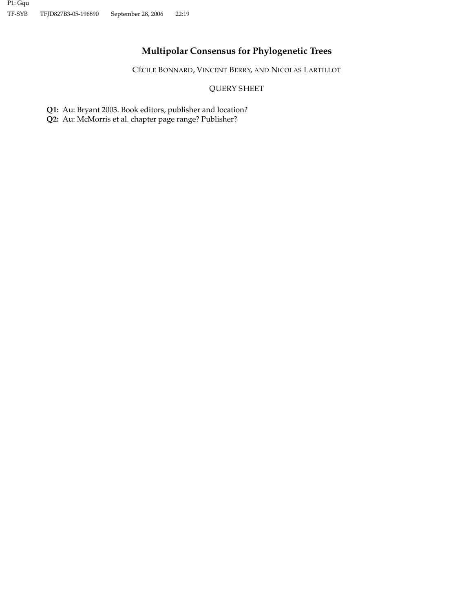# **Multipolar Consensus for Phylogenetic Trees**

CÉCILE BONNARD, VINCENT BERRY, AND NICOLAS LARTILLOT

## QUERY SHEET

**Q1:** Au: Bryant 2003. Book editors, publisher and location?

**Q2:** Au: McMorris et al. chapter page range? Publisher?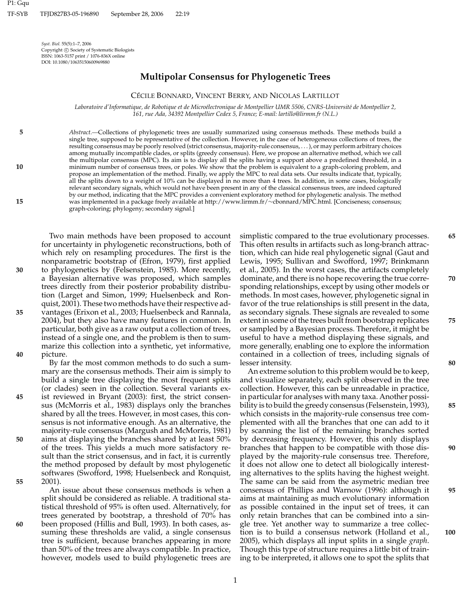*Syst. Biol.* 55(5):1–7, 2006 Copyright (c) Society of Systematic Biologists ISSN: 1063-5157 print / 1076-836X online DOI: 10.1080/10635150600969880

**5**

**10**

**15**

## **Multipolar Consensus for Phylogenetic Trees**

## CÉCILE BONNARD, VINCENT BERRY, AND NICOLAS LARTILLOT

*Laboratoire d'Informatique, de Robotique et de Microelectronique de Montpellier UMR 5506, CNRS-Universit ´ e d´ e Montpellier 2, 161, rue Ada, 34392 Montpellier Cedex 5, France; E-mail: lartillo@lirmm.fr (N.L.)*

*Abstract.—*Collections of phylogenetic trees are usually summarized using consensus methods. These methods build a single tree, supposed to be representative of the collection. However, in the case of heterogeneous collections of trees, the resulting consensus may be poorly resolved (strict consensus, majority-rule consensus, . . . ), or may perform arbitrary choices among mutually incompatible clades, or splits (greedy consensus). Here, we propose an alternative method, which we call the multipolar consensus (MPC). Its aim is to display all the splits having a support above a predefined threshold, in a minimum number of consensus trees, or poles. We show that the problem is equivalent to a graph-coloring problem, and propose an implementation of the method. Finally, we apply the MPC to real data sets. Our results indicate that, typically, all the splits down to a weight of 10% can be displayed in no more than 4 trees. In addition, in some cases, biologically relevant secondary signals, which would not have been present in any of the classical consensus trees, are indeed captured by our method, indicating that the MPC provides a convenient exploratory method for phylogenetic analysis. The method was implemented in a package freely available at http://www.lirmm.fr/∼cbonnard/MPC.html. [Conciseness; consensus; graph-coloring; phylogeny; secondary signal.]

Two main methods have been proposed to account for uncertainty in phylogenetic reconstructions, both of which rely on resampling procedures. The first is the nonparametric bootstrap of (Efron, 1979), first applied **30** to phylogenetics by (Felsenstein, 1985). More recently, a Bayesian alternative was proposed, which samples trees directly from their posterior probability distribution (Larget and Simon, 1999; Huelsenbeck and Ronquist, 2001). These two methods have their respective ad-**35** vantages (Erixon et al., 2003; Huelsenbeck and Rannala, 2004), but they also have many features in common. In particular, both give as a raw output a collection of trees, instead of a single one, and the problem is then to summarize this collection into a synthetic, yet informative, **40** picture.

By far the most common methods to do such a summary are the consensus methods. Their aim is simply to build a single tree displaying the most frequent splits (or clades) seen in the collection. Several variants ex-**45** ist reviewed in Bryant (2003): first, the strict consensus (McMorris et al., 1983) displays only the branches shared by all the trees. However, in most cases, this consensus is not informative enough. As an alternative, the majority-rule consensus (Margush and McMorris, 1981) **50** aims at displaying the branches shared by at least 50% of the trees. This yields a much more satisfactory result than the strict consensus, and in fact, it is currently the method proposed by default by most phylogenetic softwares (Swofford, 1998; Huelsenbeck and Ronquist, **55** 2001).

An issue about these consensus methods is when a split should be considered as reliable. A traditional statistical threshold of 95% is often used. Alternatively, for trees generated by bootstrap, a threshold of 70% has **60** been proposed (Hillis and Bull, 1993). In both cases, assuming these thresholds are valid, a single consensus tree is sufficient, because branches appearing in more than 50% of the trees are always compatible. In practice, however, models used to build phylogenetic trees are

simplistic compared to the true evolutionary processes. **65** This often results in artifacts such as long-branch attraction, which can hide real phylogenetic signal (Gaut and Lewis, 1995; Sullivan and Swofford, 1997; Brinkmann et al., 2005). In the worst cases, the artifacts completely dominate, and there is no hope recovering the true corre- **70** sponding relationships, except by using other models or methods. In most cases, however, phylogenetic signal in favor of the true relationships is still present in the data, as secondary signals. These signals are revealed to some extent in some of the trees built from bootstrap replicates **75** or sampled by a Bayesian process. Therefore, it might be useful to have a method displaying these signals, and more generally, enabling one to explore the information contained in a collection of trees, including signals of lesser intensity. **80**

An extreme solution to this problem would be to keep, and visualize separately, each split observed in the tree collection. However, this can be unreadable in practice, in particular for analyses with many taxa. Another possibility is to build the greedy consensus (Felsenstein, 1993), **85** which consists in the majority-rule consensus tree complemented with all the branches that one can add to it by scanning the list of the remaining branches sorted by decreasing frequency. However, this only displays branches that happen to be compatible with those dis- **90** played by the majority-rule consensus tree. Therefore, it does not allow one to detect all biologically interesting alternatives to the splits having the highest weight. The same can be said from the asymetric median tree consensus of Phillips and Warnow (1996): although it **95** aims at maintaining as much evolutionary information as possible contained in the input set of trees, it can only retain branches that can be combined into a single tree. Yet another way to summarize a tree collection is to build a consensus network (Holland et al., **100** 2005), which displays all input splits in a single *graph*. Though this type of structure requires a little bit of training to be interpreted, it allows one to spot the splits that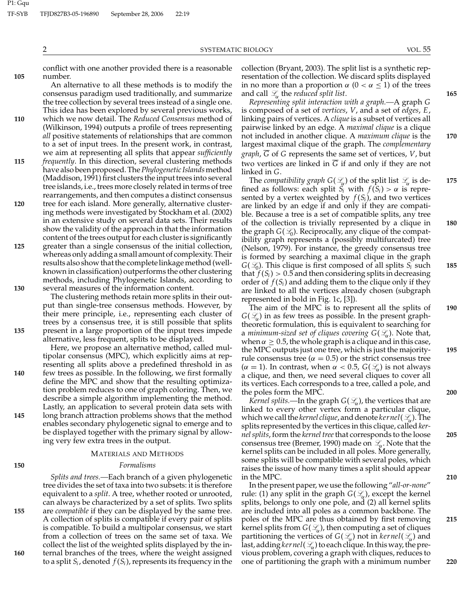conflict with one another provided there is a reasonable **105** number.

An alternative to all these methods is to modify the consensus paradigm used traditionally, and summarize the tree collection by several trees instead of a single one. This idea has been explored by several previous works,

- **110** which we now detail. The *Reduced Consensus* method of (Wilkinson, 1994) outputs a profile of trees representing *all* positive statements of relationships that are common to a set of input trees. In the present work, in contrast, we aim at representing all splits that appear *sufficiently*
- **115** *frequently*. In this direction, several clustering methods have also been proposed. The*Phylogenetic Islands*method (Maddison, 1991) first clusters the input trees into several tree islands, i.e., trees more closely related in terms of tree rearrangements, and then computes a distinct consensus
- **120** tree for each island. More generally, alternative clustering methods were investigated by Stockham et al. (2002) in an extensive study on several data sets. Their results show the validity of the approach in that the information content of the trees output for each cluster is significantly **125** greater than a single consensus of the initial collection,

whereas only adding a small amount of complexity. Their results also show that the complete linkage method (wellknown in classification) outperforms the other clustering methods, including Phylogenetic Islands, according to **130** several measures of the information content.

The clustering methods retain more splits in their output than single-tree consensus methods. However, by their mere principle, i.e., representing each cluster of trees by a consensus tree, it is still possible that splits **135** present in a large proportion of the input trees impede alternative, less frequent, splits to be displayed.

Here, we propose an alternative method, called multipolar consensus (MPC), which explicitly aims at representing all splits above a predefined threshold in as **140** few trees as possible. In the following, we first formally define the MPC and show that the resulting optimization problem reduces to one of graph coloring. Then, we describe a simple algorithm implementing the method. Lastly, an application to several protein data sets with **145** long branch attraction problems shows that the method enables secondary phylogenetic signal to emerge and to be displayed together with the primary signal by allowing very few extra trees in the output.

## MATERIALS AND METHODS

#### **150** *Formalisms*

*Splits and trees.—*Each branch of a given phylogenetic tree divides the set of taxa into two subsets: it is therefore equivalent to a *split*. A tree, whether rooted or unrooted, can always be characterized by a set of splits. Two splits **155** are *compatible* if they can be displayed by the same tree. A collection of splits is compatible if every pair of splits is compatible. To build a multipolar consensus, we start from a collection of trees on the same set of taxa. We collect the list of the weighted splits displayed by the in-**160** ternal branches of the trees, where the weight assigned to a split  $S_i$ , denoted  $f(S_i)$ , represents its frequency in the

collection (Bryant, 2003). The split list is a synthetic representation of the collection. We discard splits displayed in no more than a proportion  $\alpha$  ( $0 < \alpha \leq 1$ ) of the trees and call *L*<sup>α</sup> the *reduced split list*. **165**

*Representing split interaction with a graph.—*A graph *G* is composed of a set of *vertices*, *V*, and a set of *edges*, *E*, linking pairs of vertices. A *clique* is a subset of vertices all pairwise linked by an edge. A *maximal clique* is a clique not included in another clique. A *maximum clique* is the **170** largest maximal clique of the graph. The *complementary graph*, *G* of *G* represents the same set of vertices, *V*, but two vertices are linked in  $\overline{G}$  if and only if they are not linked in *G*.

The *compatibility graph G*(*L*α) of the split list *L*<sup>α</sup> is de- **175** fined as follows: each split  $S_i$  with  $f(S_i) > \alpha$  is represented by a vertex weighted by  $f(S_i)$ , and two vertices are linked by an edge if and only if they are compatible. Because a tree is a set of compatible splits, any tree of the collection is trivially represented by a clique in **180** the graph  $G(\mathcal{L}_0)$ . Reciprocally, any clique of the compatibility graph represents a (possibly multifurcated) tree (Nelson, 1979). For instance, the greedy consensus tree is formed by searching a maximal clique in the graph  $G(\mathcal{L}_0)$ . This clique is first composed of all splits  $S_i$  such **185** that  $f(S_i) > 0.5$  and then considering splits in decreasing order of  $f(S_i)$  and adding them to the clique only if they are linked to all the vertices already chosen (subgraph represented in bold in Fig. 1c, [3]).

The aim of the MPC is to represent all the splits of **190**  $G(\mathcal{L}_{\alpha})$  in as few trees as possible. In the present graphtheoretic formulation, this is equivalent to searching for a *minimum-sized set of cliques covering*  $G(\mathcal{L}_\alpha)$ . Note that, when  $\alpha \geq 0.5$ , the whole graph is a clique and in this case, the MPC outputs just one tree, which is just the majority- **195** rule consensus tree ( $\alpha = 0.5$ ) or the strict consensus tree  $(\alpha = 1)$ . In contrast, when  $\alpha < 0.5$ ,  $G(\mathcal{L}_{\alpha})$  is not always a clique, and then, we need several cliques to cover all its vertices. Each corresponds to a tree, called a pole, and the poles form the MPC. **200**

*Kernel splits.—In the graph*  $G(\mathcal{L})$ *, the vertices that are* linked to every other vertex form a particular clique, which we call the *kernel clique*, and denote *kernel*(*L*α). The splits represented by the vertices in this clique, called *kernel splits*, form the *kernel tree*that corresponds to the loose **205** consensus tree (Bremer, 1990) made on *L*<sub>α</sub>. Note that the kernel splits can be included in all poles. More generally, some splits will be compatible with several poles, which raises the issue of how many times a split should appear in the MPC. **210**

In the present paper, we use the following "*all-or-none*" rule: (1) any split in the graph  $G(\mathcal{L}_{\alpha})$ , except the kernel splits, belongs to only one pole, and (2) all kernel splits are included into all poles as a common backbone. The poles of the MPC are thus obtained by first removing **215** kernel splits from  $G(\mathcal{L}_{\alpha})$ , then computing a set of cliques partitioning the vertices of  $G(\mathcal{L}_{\alpha})$  not in *kernel*( $\mathcal{L}_{\alpha}$ ) and last, adding *kernel*(*L*α) to each clique. In this way, the previous problem, covering a graph with cliques, reduces to one of partitioning the graph with a minimum number **220**

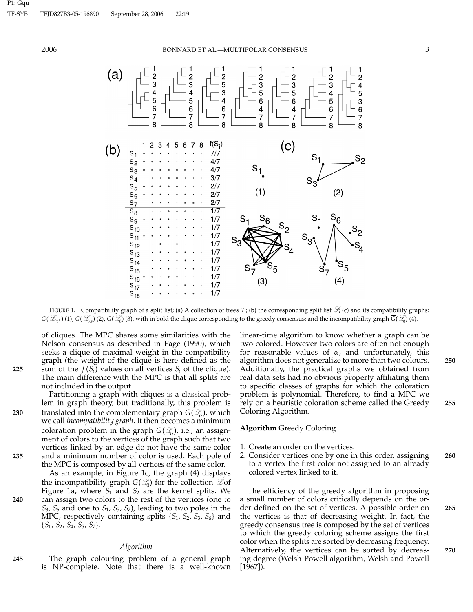

FIGURE 1. Compatibility graph of a split list; (a) A collection of trees  $T$ ; (b) the corresponding split list  $\mathcal{L}$  (c) and its compatibility graphs: *G*(*Lt*−<sup>1</sup> *t* ) (1), *G*(*L*0.5) (2), *G*(*L*0) (3), with in bold the clique corresponding to the greedy consensus; and the incompatibility graph *G*(*L*0) (4).

of cliques. The MPC shares some similarities with the Nelson consensus as described in Page (1990), which seeks a clique of maximal weight in the compatibility graph (the weight of the clique is here defined as the **225** sum of the  $f(S_i)$  values on all vertices  $S_i$  of the clique). The main difference with the MPC is that all splits are not included in the output.

Partitioning a graph with cliques is a classical problem in graph theory, but traditionally, this problem is **230** translated into the complementary graph  $\overline{G}(\mathcal{L}_\alpha)$ , which we call *incompatibility graph*. It then becomes a minimum coloration problem in the graph  $\overline{G}(\mathcal{L}_{\alpha})$ , i.e., an assignment of colors to the vertices of the graph such that two vertices linked by an edge do not have the same color **235** and a minimum number of color is used. Each pole of the MPC is composed by all vertices of the same color.

As an example, in Figure 1c, the graph (4) displays the incompatibility graph  $G(\mathcal{L}_0)$  for the collection  $\mathcal{L}$  of Figure 1a, where *S*<sup>1</sup> and *S*<sup>2</sup> are the kernel splits. We **240** can assign two colors to the rest of the vertices (one to *S*3*, S*<sup>6</sup> and one to *S*4*, S*5*, S*7), leading to two poles in the MPC, respectively containing splits {*S*1*, S*2*, S*3*, S*6} and {*S*1*, S*2*, S*4*, S*5*, S*7}.

## *Algorithm*

**245** The graph colouring problem of a general graph is NP-complete. Note that there is a well-known

linear-time algorithm to know whether a graph can be two-colored. However two colors are often not enough for reasonable values of  $\alpha$ , and unfortunately, this algorithm does not generalize to more than two colours. **250** Additionally, the practical graphs we obtained from real data sets had no obvious property affiliating them to specific classes of graphs for which the coloration problem is polynomial. Therefore, to find a MPC we rely on a heuristic coloration scheme called the Greedy **255** Coloring Algorithm.

## **Algorithm** Greedy Coloring

- 1. Create an order on the vertices.
- 2. Consider vertices one by one in this order, assigning **260** to a vertex the first color not assigned to an already colored vertex linked to it.

The efficiency of the greedy algorithm in proposing a small number of colors critically depends on the order defined on the set of vertices. A possible order on **265** the vertices is that of decreasing weight. In fact, the greedy consensus tree is composed by the set of vertices to which the greedy coloring scheme assigns the first color when the splits are sorted by decreasing frequency. Alternatively, the vertices can be sorted by decreas- **270** ing degree (Welsh-Powell algorithm, Welsh and Powell [1967]).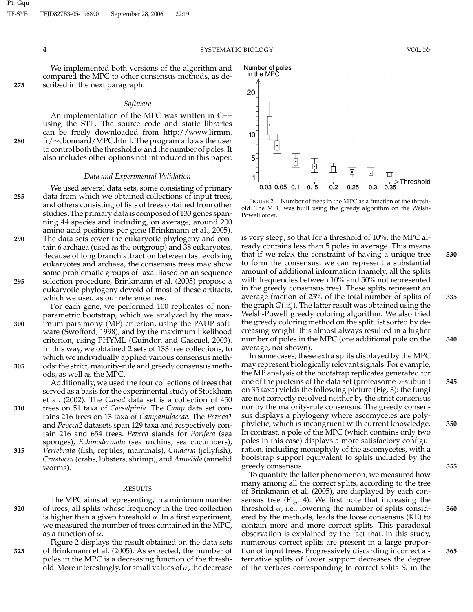We implemented both versions of the algorithm and compared the MPC to other consensus methods, as de-**275** scribed in the next paragraph.

#### *Software*

An implementation of the MPC was written in C++ using the STL. The source code and static libraries can be freely downloaded from http://www.lirmm. **280** fr/∼cbonnard/MPC.html. The program allows the user to control both the threshold  $\alpha$  and the number of poles. It also includes other options not introduced in this paper.

#### *Data and Experimental Validation*

We used several data sets, some consisting of primary **285** data from which we obtained collections of input trees, and others consisting of lists of trees obtained from other studies. The primary data is composed of 133 genes spanning 44 species and including, on average, around 200 amino acid positions per gene (Brinkmann et al., 2005). **290** The data sets cover the eukaryotic phylogeny and contain 6 archaea (used as the outgroup) and 38 eukaryotes. Because of long branch attraction between fast evolving eukaryotes and archaea, the consensus trees may show some problematic groups of taxa. Based on an sequence **295** selection procedure, Brinkmann et al. (2005) propose a eukaryotic phylogeny devoid of most of these artifacts,

which we used as our reference tree. For each gene, we performed 100 replicates of nonparametric bootstrap, which we analyzed by the max-**300** imum parsimony (MP) criterion, using the PAUP software (Swofford, 1998), and by the maximum likelihood criterion, using PHYML (Guindon and Gascuel, 2003). In this way, we obtained 2 sets of 133 tree collections, to which we individually applied various consensus meth-**305** ods: the strict, majority-rule and greedy consensus methods, as well as the MPC.

Additionally, we used the four collections of trees that served as a basis for the experimental study of Stockham et al. (2002). The *Caesal* data set is a collection of 450 **310** trees on 51 taxa of *Caesalpinia*. The *Camp* data set contains 216 trees on 13 taxa of *Campanulaceae*. The *Pevcca1* and *Pevcca2* datasets span 129 taxa and respectively contain 216 and 654 trees. *Pevcca* stands for *Porifera* (sea sponges), *Echinodermata* (sea urchins, sea cucumbers), **315** *Vertebrata* (fish, reptiles, mammals), *Cnidaria* (jellyfish), *Crustacea* (crabs, lobsters, shrimp), and *Annelida* (annelid worms).

#### RESULTS

The MPC aims at representing, in a minimum number **320** of trees, all splits whose frequency in the tree collection is higher than a given threshold  $\alpha$ . In a first experiment, we measured the number of trees contained in the MPC, as a function of  $\alpha$ .

Figure 2 displays the result obtained on the data sets **325** of Brinkmann et al. (2005). As expected, the number of poles in the MPC is a decreasing function of the threshold. More interestingly, for small values of  $\alpha$ , the decrease



FIGURE 2. Number of trees in the MPC as a function of the threshold. The MPC was built using the greedy algorithm on the Welsh-Powell order.

is very steep, so that for a threshold of 10%, the MPC already contains less than 5 poles in average. This means that if we relax the constraint of having a unique tree **330** to form the consensus, we can represent a substantial amount of additional information (namely, all the splits with frequencies between 10% and 50% not represented in the greedy consensus tree). These splits represent an average fraction of 25% of the total number of splits of **335** the graph  $G(\mathcal{L}_{\alpha})$ . The latter result was obtained using the Welsh-Powell greedy coloring algorithm. We also tried the greedy coloring method on the split list sorted by decreasing weight: this almost always resulted in a higher number of poles in the MPC (one additional pole on the **340** average, not shown).

In some cases, these extra splits displayed by the MPC may represent biologically relevant signals. For example, the MP analysis of the bootstrap replicates generated for one of the proteins of the data set (proteasome α-subunit **345** on 35 taxa) yields the following picture (Fig. 3): the fungi are not correctly resolved neither by the strict consensus nor by the majority-rule consensus. The greedy consensus displays a phylogeny where ascomycetes are polyphyletic, which is incongruent with current knowledge. **350** In contrast, a pole of the MPC (which contains only two poles in this case) displays a more satisfactory configuration, including monophyly of the ascomycetes, with a bootstrap support equivalent to splits included by the greedy consensus. **355**

To quantify the latter phenomenon, we measured how many among all the correct splits, according to the tree of Brinkmann et al. (2005), are displayed by each consensus tree (Fig. 4). We first note that increasing the threshold α, i.e., lowering the number of splits consid- **360** ered by the methods, leads the loose consensus (KE) to contain more and more correct splits. This paradoxal observation is explained by the fact that, in this study, numerous correct splits are present in a large proportion of input trees. Progressively discarding incorrect al- **365** ternative splits of lower support decreases the degree of the vertices corresponding to correct splits  $S_i$  in the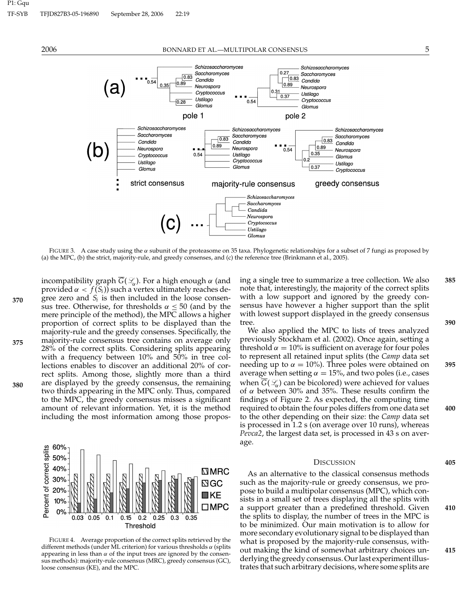2006 BONNARD ET AL.—MULTIPOLAR CONSENSUS 5



FIGURE 3. A case study using the α subunit of the proteasome on 35 taxa. Phylogenetic relationships for a subset of 7 fungi as proposed by (a) the MPC, (b) the strict, majority-rule, and greedy consenses, and (c) the reference tree (Brinkmann et al., 2005).

Ustilago Glomus

incompatibility graph *G*(*L*α). For a high enough α (and provided  $\alpha < f(S_i)$ ) such a vertex ultimately reaches de $g_{70}$  gree zero and  $S_i$  is then included in the loose consensus tree. Otherwise, for thresholds  $\alpha \leq 50$  (and by the mere principle of the method), the MPC allows a higher proportion of correct splits to be displayed than the majority-rule and the greedy consenses. Specifically, the majority-rule consensus tree contains on average only **375** 28% of the correct splits. Considering splits appearing with a frequency between 10% and 50% in tree collections enables to discover an additional 20% of correct splits. Among those, slightly more than a third are displayed by the greedy consensus, the remaining **380** two thirds appearing in the MPC only. Thus, compared to the MPC, the greedy consensus misses a significant amount of relevant information. Yet, it is the method including the most information among those propos-



FIGURE 4. Average proportion of the correct splits retrieved by the different methods (under ML criterion) for various thresholds  $\alpha$  (splits appearing in less than  $\alpha$  of the input trees are ignored by the consensus methods): majority-rule consensus (MRC), greedy consensus (GC), loose consensus (KE), and the MPC.

Threshold

ing a single tree to summarize a tree collection. We also **385** note that, interestingly, the majority of the correct splits with a low support and ignored by the greedy consensus have however a higher support than the split with lowest support displayed in the greedy consensus tree. **390**

We also applied the MPC to lists of trees analyzed previously Stockham et al. (2002). Once again, setting a threshold  $\alpha = 10\%$  is sufficient on average for four poles to represent all retained input splits (the *Camp* data set needing up to  $\alpha = 10\%$ ). Three poles were obtained on **395** average when setting  $\alpha = 15\%$ , and two poles (i.e., cases when  $G(\mathcal{L})$  can be bicolored) were achieved for values of  $\alpha$  between 30% and 35%. These results confirm the findings of Figure 2. As expected, the computing time required to obtain the four poles differs from one data set **400** to the other depending on their size: the *Camp* data set is processed in 1.2 s (on average over 10 runs), whereas *Pevca2*, the largest data set, is processed in 43 s on average.

#### DISCUSSION **405**

As an alternative to the classical consensus methods such as the majority-rule or greedy consensus, we propose to build a multipolar consensus (MPC), which consists in a small set of trees displaying all the splits with a support greater than a predefined threshold. Given **410** the splits to display, the number of trees in the MPC is to be minimized. Our main motivation is to allow for more secondary evolutionary signal to be displayed than what is proposed by the majority-rule consensus, without making the kind of somewhat arbitrary choices un- **415** derlying the greedy consensus. Our last experiment illustrates that such arbitrary decisions, where some splits are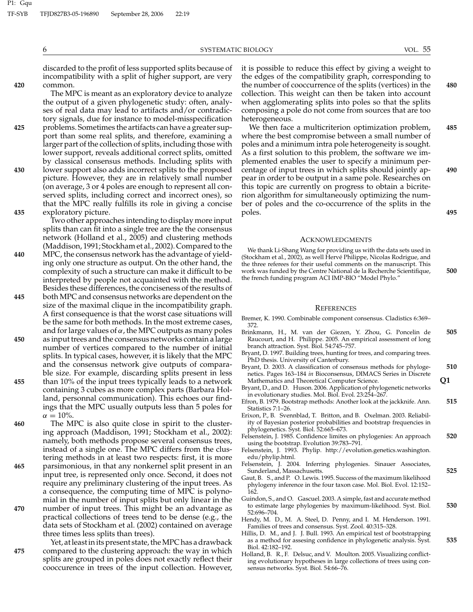6 SYSTEMATIC BIOLOGY VOL. 55

discarded to the profit of less supported splits because of incompatibility with a split of higher support, are very **420** common.

The MPC is meant as an exploratory device to analyze the output of a given phylogenetic study: often, analyses of real data may lead to artifacts and/or contradictory signals, due for instance to model-misspecification **425** problems. Sometimes the artifacts can have a greater support than some real splits, and therefore, examining a larger part of the collection of splits, including those with lower support, reveals additional correct splits, omitted by classical consensus methods. Including splits with **430** lower support also adds incorrect splits to the proposed picture. However, they are in relatively small number (on average, 3 or 4 poles are enough to represent all conserved splits, including correct and incorrect ones), so that the MPC really fulfills its role in giving a concise **435** exploratory picture.

Two other approaches intending to display more input splits than can fit into a single tree are the the consensus network (Holland et al., 2005) and clustering methods (Maddison, 1991; Stockham et al., 2002). Compared to the **440** MPC, the consensus network has the advantage of yielding only one structure as output. On the other hand, the complexity of such a structure can make it difficult to be interpreted by people not acquainted with the method. Besides these differences, the conciseness of the results of **445** both MPC and consensus networks are dependent on the size of the maximal clique in the incompatibility graph. A first consequence is that the worst case situations will be the same for both methods. In the most extreme cases, and for large values of  $\alpha$ , the MPC outputs as many poles **450** as input trees and the consensus networks contain a large number of vertices compared to the number of initial splits. In typical cases, however, it is likely that the MPC and the consensus network give outputs of comparable size. For example, discarding splits present in less **455** than 10% of the input trees typically leads to a network containing 3 cubes as more complex parts (Barbara Holland, personnal communication). This echoes our findings that the MPC usually outputs less than 5 poles for

 $\alpha = 10\%$ . **460** The MPC is also quite close in spirit to the clustering approach (Maddison, 1991; Stockham et al., 2002): namely, both methods propose several consensus trees, instead of a single one. The MPC differs from the clustering methods in at least two respects: first, it is more **465** parsimonious, in that any nonkernel split present in an input tree, is represented only once. Second, it does not require any preliminary clustering of the input trees. As a consequence, the computing time of MPC is polynomial in the number of input splits but only linear in the **470** number of input trees. This might be an advantage as practical collections of trees tend to be dense (e.g., the data sets of Stockham et al. (2002) contained on average three times less splits than trees).

Yet, at least in its present state, the MPC has a drawback **475** compared to the clustering approach: the way in which splits are grouped in poles does not exactly reflect their cooccurence in trees of the input collection. However,

it is possible to reduce this effect by giving a weight to the edges of the compatibility graph, corresponding to the number of cooccurrence of the splits (vertices) in the **480** collection. This weight can then be taken into account when agglomerating splits into poles so that the splits composing a pole do not come from sources that are too heterogeneous.

We then face a multicriterion optimization problem, **485** where the best compromise between a small number of poles and a minimum intra pole heterogeneity is sought. As a first solution to this problem, the software we implemented enables the user to specify a minimum percentage of input trees in which splits should jointly ap- **490** pear in order to be output in a same pole. Researches on this topic are currently on progress to obtain a bicriterion algorithm for simultaneously optimizing the number of poles and the co-occurrence of the splits in the poles. **495**

#### ACKNOWLEDGMENTS

We thank Li-Shang Wang for providing us with the data sets used in (Stockham et al., 2002), as well Hervé Philippe, Nicolas Rodrigue, and the three referees for their useful comments on the manuscript. This work was funded by the Centre National de la Recherche Scientifique, **500** the french funding program ACI IMP-BIO "Model Phylo."

#### **REFERENCES**

- Bremer, K. 1990. Combinable component consensus. Cladistics 6:369– 372.
- Brinkmann, H., M. van der Giezen, Y. Zhou, G. Poncelin de **505** Raucourt, and H. Philippe. 2005. An empirical assessment of long branch attraction. Syst. Biol. 54:745–757.
- Bryant, D. 1997. Building trees, hunting for trees, and comparing trees. PhD thesis. University of Canterbury.
- Bryant, D. 2003. A classification of consensus methods for phyloge- **510** netics. Pages 163–184 *in* Bioconsensus, DIMACS Series in Discrete Mathematics and Theoretical Computer Science. **Q1**
- Bryant, D., and D. Huson. 2006. Application of phylogenetic networks
- in evolutionary studies. Mol. Biol. Evol. 23:254–267. Efron, B. 1979. Bootstrap methods: Another look at the jackknife. Ann. **515** Statistics 7:1–26.
- Erixon, P., B. Svennblad, T. Britton, and B. Oxelman. 2003. Reliability of Bayesian posterior probabilities and bootstrap frequencies in phylogenetics. Syst. Biol. 52:665–673.
- Felsenstein, J. 1985. Confidence limites on phylogenies: An approach **520** using the bootstrap. Evolution 39:783–791.
- Felsenstein, J. 1993. Phylip. http://evolution.genetics.washington. edu/phylip.html.
- Felsenstein, J. 2004. Inferring phylogenies. Sinauer Associates, Sunderland, Massachusetts. **525**
- Gaut, B. S., and P. O. Lewis. 1995. Success of the maximum likelihood phylogeny inference in the four taxon case. Mol. Biol. Evol. 12:152– 162.
- Guindon, S., and O. Gascuel. 2003. A simple, fast and accurate method to estimate large phylogenies by maximum-likelihood. Syst. Biol. **530** 52:696–704.
- Hendy, M. D., M. A. Steel, D. Penny, and I. M. Henderson. 1991. Families of trees and consensus. Syst. Zool. 40:315–328.
- Hillis, D. M., and J. J. Bull. 1993. An empirical test of bootstrapping as a method for assesing confidence in phylogenetic analysis. Syst. **535** Biol. 42:182–192.
- Holland, B. R., F. Delsuc, and V. Moulton. 2005. Visualizing conflicting evolutionary hypotheses in large collections of trees using consensus networks. Syst. Biol. 54:66–76.